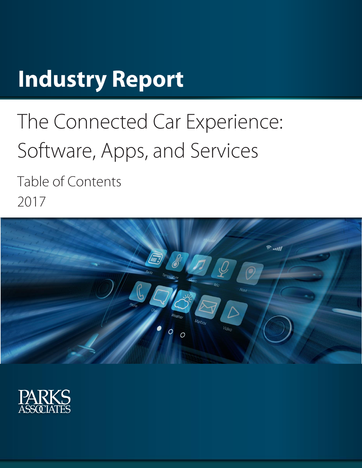## **Industry Report**

# The Connected Car Experience: Software, Apps, and Services

Table of Contents 2017



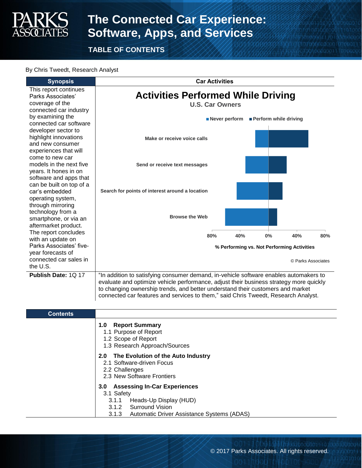

## **The Connected Car Experience: Software, Apps, and Services**

**TABLE OF CONTENTS**

#### By Chris Tweedt, Research Analyst

| <b>Synopsis</b>                            | <b>Car Activities</b>                                                                  |
|--------------------------------------------|----------------------------------------------------------------------------------------|
| This report continues                      |                                                                                        |
| Parks Associates'                          | <b>Activities Performed While Driving</b>                                              |
| coverage of the                            | <b>U.S. Car Owners</b>                                                                 |
| connected car industry                     |                                                                                        |
| by examining the<br>connected car software | Perform while driving<br>■ Never perform                                               |
| developer sector to                        |                                                                                        |
| highlight innovations                      |                                                                                        |
| and new consumer                           | Make or receive voice calls                                                            |
| experiences that will                      |                                                                                        |
| come to new car                            |                                                                                        |
| models in the next five                    | Send or receive text messages                                                          |
| years. It hones in on                      |                                                                                        |
| software and apps that                     |                                                                                        |
| can be built on top of a                   |                                                                                        |
| car's embedded                             | Search for points of interest around a location                                        |
| operating system,                          |                                                                                        |
| through mirroring                          |                                                                                        |
| technology from a                          | <b>Browse the Web</b>                                                                  |
| smartphone, or via an                      |                                                                                        |
| aftermarket product.                       |                                                                                        |
| The report concludes<br>with an update on  | 80%<br>40%<br>0%<br>40%<br>80%                                                         |
| Parks Associates' five-                    | % Performing vs. Not Performing Activities                                             |
| year forecasts of                          |                                                                                        |
| connected car sales in                     | © Parks Associates                                                                     |
| the U.S.                                   |                                                                                        |
| Publish Date: 1Q 17                        | "In addition to satisfying consumer demand, in-vehicle software enables automakers to  |
|                                            | evaluate and optimize vehicle performance, adjust their business strategy more quickly |
|                                            | to changing ownership trends, and better understand their customers and market         |
|                                            | connected car features and services to them," said Chris Tweedt, Research Analyst.     |
|                                            |                                                                                        |
| <b>Contents</b>                            |                                                                                        |
|                                            | <b>Report Summary</b><br>1.0                                                           |
|                                            | 1.1 Purpose of Report                                                                  |
|                                            | 1.2 Scope of Report                                                                    |
|                                            | 1.3 Research Approach/Sources                                                          |
|                                            | 2.0<br>The Evolution of the Auto Industry                                              |
|                                            | 2.1 Software-driven Focus                                                              |
|                                            | 2.2 Challenges                                                                         |
|                                            | 2.3 New Software Frontiers                                                             |
|                                            | 3.0 Assessing In-Car Experiences                                                       |
|                                            | 3.1 Safety                                                                             |
|                                            | 3.1.1<br>Heads-Up Display (HUD)                                                        |
|                                            | 3.1.2<br><b>Surround Vision</b>                                                        |
|                                            | 3.1.3<br>Automatic Driver Assistance Systems (ADAS)                                    |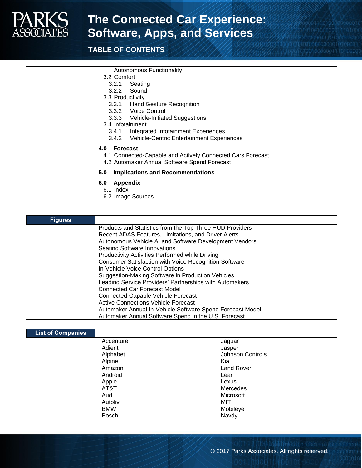

## **The Connected Car Experience: Software, Apps, and Services**

### **TABLE OF CONTENTS**

Autonomous Functionality

- 3.2 Comfort
	- 3.2.1 Seating
	- 3.2.2 Sound
- 3.3 Productivity
	- 3.3.1 Hand Gesture Recognition
	- 3.3.2 Voice Control
	- 3.3.3 Vehicle-Initiated Suggestions
- 3.4 Infotainment
	- 3.4.1 Integrated Infotainment Experiences
	- 3.4.2 Vehicle-Centric Entertainment Experiences

#### **4.0 Forecast**

- 4.1 Connected-Capable and Actively Connected Cars Forecast
- 4.2 Automaker Annual Software Spend Forecast

#### **5.0 Implications and Recommendations**

- **6.0 Appendix**
- 6.1 Index
- 6.2 Image Sources

| <b>Figures</b> |                                                              |
|----------------|--------------------------------------------------------------|
|                | Products and Statistics from the Top Three HUD Providers     |
|                | Recent ADAS Features, Limitations, and Driver Alerts         |
|                | Autonomous Vehicle AI and Software Development Vendors       |
|                | <b>Seating Software Innovations</b>                          |
|                | Productivity Activities Performed while Driving              |
|                | <b>Consumer Satisfaction with Voice Recognition Software</b> |
|                | In-Vehicle Voice Control Options                             |
|                | Suggestion-Making Software in Production Vehicles            |
|                | Leading Service Providers' Partnerships with Automakers      |
|                | <b>Connected Car Forecast Model</b>                          |
|                | Connected-Capable Vehicle Forecast                           |
|                | <b>Active Connections Vehicle Forecast</b>                   |
|                | Automaker Annual In-Vehicle Software Spend Forecast Model    |
|                | Automaker Annual Software Spend in the U.S. Forecast         |

#### **List of Companies** Accenture Adient Alphabet Alpine Amazon Android Apple AT&T Audi Autoliv BMW Bosch Jaguar Jasper Johnson Controls Kia Land Rover Lear Lexus Mercedes Microsoft MIT Mobileye Navdy